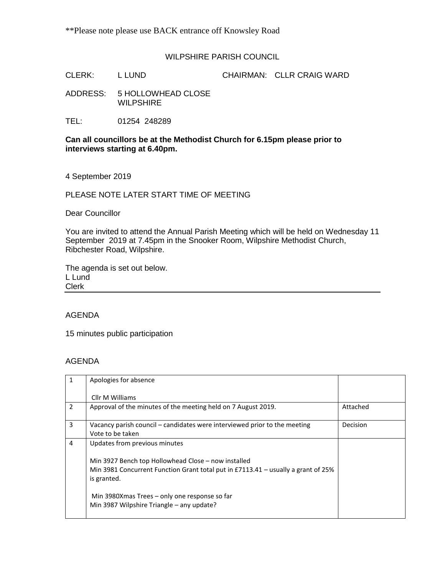## WILPSHIRE PARISH COUNCIL

CLERK: L LUND CHAIRMAN: CLLR CRAIG WARD

ADDRESS: 5 HOLLOWHEAD CLOSE WILPSHIRE

TEL: 01254 248289

### **Can all councillors be at the Methodist Church for 6.15pm please prior to interviews starting at 6.40pm.**

4 September 2019

PLEASE NOTE LATER START TIME OF MEETING

Dear Councillor

You are invited to attend the Annual Parish Meeting which will be held on Wednesday 11 September 2019 at 7.45pm in the Snooker Room, Wilpshire Methodist Church, Ribchester Road, Wilpshire.

The agenda is set out below. L Lund Clerk

## AGENDA

15 minutes public participation

### AGENDA

|   | Apologies for absence                                                                              |          |
|---|----------------------------------------------------------------------------------------------------|----------|
|   | Cllr M Williams                                                                                    |          |
| 2 | Approval of the minutes of the meeting held on 7 August 2019.                                      | Attached |
| 3 | Vacancy parish council – candidates were interviewed prior to the meeting                          | Decision |
|   | Vote to be taken                                                                                   |          |
| 4 | Updates from previous minutes                                                                      |          |
|   | Min 3927 Bench top Hollowhead Close - now installed                                                |          |
|   | Min 3981 Concurrent Function Grant total put in $E7113.41$ – usually a grant of 25%<br>is granted. |          |
|   | Min 3980Xmas Trees – only one response so far<br>Min 3987 Wilpshire Triangle - any update?         |          |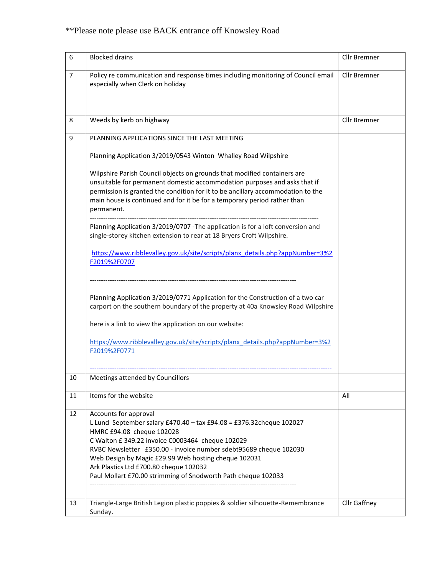# \*\*Please note please use BACK entrance off Knowsley Road

| 6              | <b>Blocked drains</b>                                                                                                                                                                                                                                                                                                                                                                                                  | Cllr Bremner |
|----------------|------------------------------------------------------------------------------------------------------------------------------------------------------------------------------------------------------------------------------------------------------------------------------------------------------------------------------------------------------------------------------------------------------------------------|--------------|
| $\overline{7}$ | Policy re communication and response times including monitoring of Council email<br>especially when Clerk on holiday                                                                                                                                                                                                                                                                                                   | Cllr Bremner |
| 8              | Weeds by kerb on highway                                                                                                                                                                                                                                                                                                                                                                                               | Cllr Bremner |
| 9              | PLANNING APPLICATIONS SINCE THE LAST MEETING                                                                                                                                                                                                                                                                                                                                                                           |              |
|                | Planning Application 3/2019/0543 Winton Whalley Road Wilpshire                                                                                                                                                                                                                                                                                                                                                         |              |
|                | Wilpshire Parish Council objects on grounds that modified containers are<br>unsuitable for permanent domestic accommodation purposes and asks that if<br>permission is granted the condition for it to be ancillary accommodation to the<br>main house is continued and for it be for a temporary period rather than<br>permanent.                                                                                     |              |
|                | Planning Application 3/2019/0707 - The application is for a loft conversion and<br>single-storey kitchen extension to rear at 18 Bryers Croft Wilpshire.                                                                                                                                                                                                                                                               |              |
|                | https://www.ribblevalley.gov.uk/site/scripts/planx_details.php?appNumber=3%2<br>F2019%2F0707                                                                                                                                                                                                                                                                                                                           |              |
|                | Planning Application 3/2019/0771 Application for the Construction of a two car<br>carport on the southern boundary of the property at 40a Knowsley Road Wilpshire<br>here is a link to view the application on our website:<br>https://www.ribblevalley.gov.uk/site/scripts/planx_details.php?appNumber=3%2<br>F2019%2F0771                                                                                            |              |
| 10             | Meetings attended by Councillors                                                                                                                                                                                                                                                                                                                                                                                       |              |
|                |                                                                                                                                                                                                                                                                                                                                                                                                                        |              |
| 11             | Items for the website                                                                                                                                                                                                                                                                                                                                                                                                  | All          |
| 12             | Accounts for approval<br>L Lund September salary £470.40 - tax £94.08 = £376.32 cheque 102027<br>HMRC £94.08 cheque 102028<br>C Walton £ 349.22 invoice C0003464 cheque 102029<br>RVBC Newsletter £350.00 - invoice number sdebt95689 cheque 102030<br>Web Design by Magic £29.99 Web hosting cheque 102031<br>Ark Plastics Ltd £700.80 cheque 102032<br>Paul Mollart £70.00 strimming of Snodworth Path cheque 102033 |              |
| 13             | Triangle-Large British Legion plastic poppies & soldier silhouette-Remembrance<br>Sunday.                                                                                                                                                                                                                                                                                                                              | Cllr Gaffney |